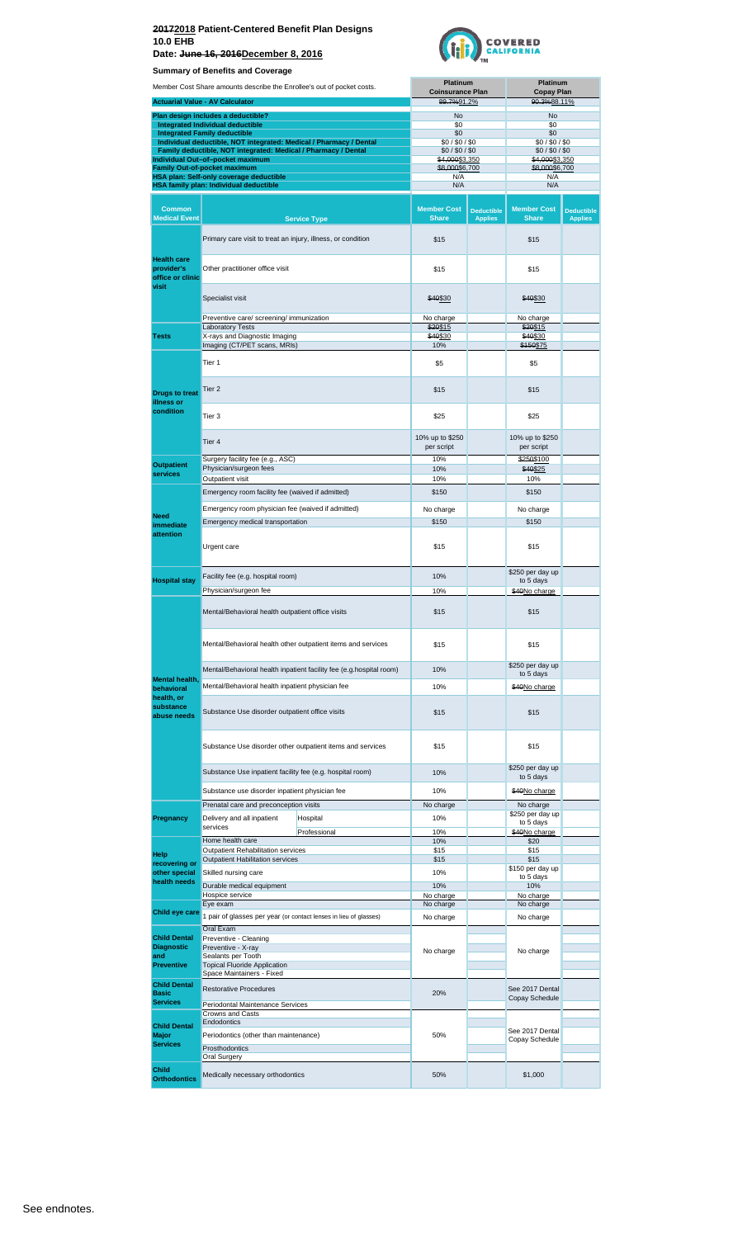



|                                                                           | Summary or Benemis and Coverage                                                                                                      |                                                                     | <b>Platinum</b>                    |                                     | <b>Platinum</b>                    |                                     |
|---------------------------------------------------------------------------|--------------------------------------------------------------------------------------------------------------------------------------|---------------------------------------------------------------------|------------------------------------|-------------------------------------|------------------------------------|-------------------------------------|
|                                                                           | Member Cost Share amounts describe the Enrollee's out of pocket costs.                                                               |                                                                     | <b>Coinsurance Plan</b>            |                                     | <b>Copay Plan</b>                  |                                     |
|                                                                           | <b>Actuarial Value - AV Calculator</b>                                                                                               |                                                                     | 89.7%91.2%                         |                                     | 90.3%88.11%                        |                                     |
|                                                                           | Plan design includes a deductible?<br>Integrated Individual deductible                                                               |                                                                     | No<br>\$0                          |                                     | No<br>\$0                          |                                     |
|                                                                           | <b>Integrated Family deductible</b>                                                                                                  |                                                                     | \$0                                |                                     | \$0                                |                                     |
|                                                                           | Individual deductible, NOT integrated: Medical / Pharmacy / Dental<br>Family deductible, NOT integrated: Medical / Pharmacy / Dental |                                                                     | \$0/\$0/\$0<br>\$0/\$0/\$0         |                                     | \$0/\$0/\$0<br>\$0/\$0/\$0         |                                     |
|                                                                           | Individual Out-of-pocket maximum                                                                                                     |                                                                     | \$4,000\$3,350                     |                                     | \$4,000\$3,350                     |                                     |
|                                                                           | <b>Family Out-of-pocket maximum</b><br>HSA plan: Self-only coverage deductible                                                       |                                                                     | \$8,000\$6,700<br>N/A              |                                     | \$8,000\$6,700<br>N/A              |                                     |
|                                                                           | HSA family plan: Individual deductible                                                                                               |                                                                     | N/A                                |                                     | N/A                                |                                     |
|                                                                           |                                                                                                                                      |                                                                     |                                    |                                     |                                    |                                     |
| <b>Common</b><br><b>Medical Event</b>                                     |                                                                                                                                      | <b>Service Type</b>                                                 | <b>Member Cost</b><br><b>Share</b> | <b>Deductible</b><br><b>Applies</b> | <b>Member Cost</b><br><b>Share</b> | <b>Deductible</b><br><b>Applies</b> |
|                                                                           | Primary care visit to treat an injury, illness, or condition                                                                         |                                                                     | \$15                               |                                     | \$15                               |                                     |
| <b>Health care</b><br>provider's<br>office or clinic<br>visit             | Other practitioner office visit                                                                                                      |                                                                     | \$15                               |                                     | \$15                               |                                     |
|                                                                           | Specialist visit                                                                                                                     |                                                                     | \$40\$30                           |                                     | \$40\$30                           |                                     |
|                                                                           | Preventive care/ screening/ immunization                                                                                             |                                                                     | No charge                          |                                     | No charge                          |                                     |
| <b>Tests</b>                                                              | <b>Laboratory Tests</b><br>X-rays and Diagnostic Imaging                                                                             |                                                                     | \$20\$15<br>\$40\$30               |                                     | \$20\$15<br>\$40\$30               |                                     |
|                                                                           | Imaging (CT/PET scans, MRIs)                                                                                                         |                                                                     | 10%                                |                                     | \$150\$75                          |                                     |
|                                                                           | Tier 1                                                                                                                               |                                                                     | \$5                                |                                     | \$5                                |                                     |
| <b>Drugs to treat</b><br>illness or                                       | Tier 2                                                                                                                               |                                                                     | \$15                               |                                     | \$15                               |                                     |
| condition                                                                 | Tier 3                                                                                                                               |                                                                     | \$25                               |                                     | \$25                               |                                     |
|                                                                           | Tier 4                                                                                                                               |                                                                     | 10% up to \$250<br>per script      |                                     | 10% up to \$250<br>per script      |                                     |
| <b>Outpatient</b>                                                         | Surgery facility fee (e.g., ASC)                                                                                                     |                                                                     | 10%                                |                                     | \$250\$100                         |                                     |
| services                                                                  | Physician/surgeon fees<br>Outpatient visit                                                                                           |                                                                     | 10%<br>10%                         |                                     | \$40\$25<br>10%                    |                                     |
|                                                                           | Emergency room facility fee (waived if admitted)                                                                                     |                                                                     |                                    |                                     | \$150                              |                                     |
|                                                                           |                                                                                                                                      |                                                                     | \$150                              |                                     |                                    |                                     |
| <b>Need</b>                                                               | Emergency room physician fee (waived if admitted)                                                                                    |                                                                     | No charge                          |                                     | No charge                          |                                     |
| Emergency medical transportation<br>immediate<br>attention<br>Urgent care |                                                                                                                                      |                                                                     | \$150                              |                                     | \$150                              |                                     |
|                                                                           |                                                                                                                                      |                                                                     | \$15                               |                                     | \$15                               |                                     |
|                                                                           |                                                                                                                                      |                                                                     | 10%                                |                                     | \$250 per day up                   |                                     |
| <b>Hospital stay</b>                                                      | Facility fee (e.g. hospital room)<br>Physician/surgeon fee                                                                           |                                                                     |                                    |                                     | to 5 days                          |                                     |
|                                                                           |                                                                                                                                      |                                                                     | 10%                                |                                     | \$40No charge                      |                                     |
|                                                                           | Mental/Behavioral health outpatient office visits                                                                                    |                                                                     | \$15                               |                                     | \$15                               |                                     |
|                                                                           | Mental/Behavioral health other outpatient items and services                                                                         |                                                                     | \$15                               |                                     | \$15                               |                                     |
|                                                                           |                                                                                                                                      | Mental/Behavioral health inpatient facility fee (e.g.hospital room) | 10%                                |                                     | \$250 per day up                   |                                     |
| <b>Mental health.</b>                                                     | Mental/Behavioral health inpatient physician fee                                                                                     |                                                                     |                                    |                                     | to 5 days                          |                                     |
| behavioral<br>health, or                                                  |                                                                                                                                      |                                                                     | 10%                                |                                     | \$40No charge                      |                                     |
| substance<br>abuse needs                                                  | Substance Use disorder outpatient office visits                                                                                      |                                                                     | \$15                               |                                     | \$15                               |                                     |
|                                                                           |                                                                                                                                      | Substance Use disorder other outpatient items and services          | \$15                               |                                     | \$15                               |                                     |
|                                                                           | Substance Use inpatient facility fee (e.g. hospital room)                                                                            |                                                                     | 10%                                |                                     | \$250 per day up<br>to 5 days      |                                     |
|                                                                           | Substance use disorder inpatient physician fee                                                                                       |                                                                     | 10%                                |                                     | \$40No charge                      |                                     |
|                                                                           | Prenatal care and preconception visits                                                                                               |                                                                     | No charge                          |                                     | No charge                          |                                     |
| Pregnancy                                                                 | Delivery and all inpatient                                                                                                           | Hospital                                                            | 10%                                |                                     | \$250 per day up                   |                                     |
|                                                                           | services                                                                                                                             | Professional                                                        | 10%                                |                                     | to 5 days<br>\$40No charge         |                                     |
|                                                                           | Home health care                                                                                                                     |                                                                     | 10%                                |                                     | \$20                               |                                     |
| Help                                                                      | Outpatient Rehabilitation services<br><b>Outpatient Habilitation services</b>                                                        |                                                                     | \$15<br>\$15                       |                                     | \$15<br>\$15                       |                                     |
| recovering or<br>other special                                            | Skilled nursing care                                                                                                                 |                                                                     | 10%                                |                                     | \$150 per day up                   |                                     |
| health needs                                                              | Durable medical equipment                                                                                                            |                                                                     | 10%                                |                                     | to 5 days<br>10%                   |                                     |
|                                                                           | Hospice service                                                                                                                      |                                                                     | No charge                          |                                     | No charge                          |                                     |
| Child eye care                                                            | Eye exam                                                                                                                             |                                                                     | No charge                          |                                     | No charge                          |                                     |
|                                                                           | 1 pair of glasses per year (or contact lenses in lieu of glasses)                                                                    |                                                                     | No charge                          |                                     | No charge                          |                                     |
| <b>Child Dental</b>                                                       | Oral Exam<br>Preventive - Cleaning                                                                                                   |                                                                     |                                    |                                     |                                    |                                     |
| <b>Diagnostic</b>                                                         | Preventive - X-ray                                                                                                                   |                                                                     | No charge                          |                                     | No charge                          |                                     |
| and<br><b>Preventive</b>                                                  | Sealants per Tooth<br><b>Topical Fluoride Application</b>                                                                            |                                                                     |                                    |                                     |                                    |                                     |
|                                                                           | Space Maintainers - Fixed                                                                                                            |                                                                     |                                    |                                     |                                    |                                     |
| <b>Child Dental</b><br><b>Basic</b>                                       | <b>Restorative Procedures</b>                                                                                                        |                                                                     | 20%                                |                                     | See 2017 Dental                    |                                     |
| <b>Services</b>                                                           | Periodontal Maintenance Services                                                                                                     |                                                                     |                                    |                                     | Copay Schedule                     |                                     |
|                                                                           | Crowns and Casts                                                                                                                     |                                                                     |                                    |                                     |                                    |                                     |
| <b>Child Dental</b>                                                       | Endodontics                                                                                                                          |                                                                     |                                    |                                     | See 2017 Dental                    |                                     |
| Major<br><b>Services</b>                                                  | Periodontics (other than maintenance)                                                                                                |                                                                     | 50%                                |                                     | Copay Schedule                     |                                     |
|                                                                           | <b>Prosthodontics</b><br>Oral Surgery                                                                                                |                                                                     |                                    |                                     |                                    |                                     |
|                                                                           |                                                                                                                                      |                                                                     |                                    |                                     |                                    |                                     |
| <b>Child</b><br><b>Orthodontics</b>                                       | Medically necessary orthodontics                                                                                                     |                                                                     | 50%                                |                                     | \$1,000                            |                                     |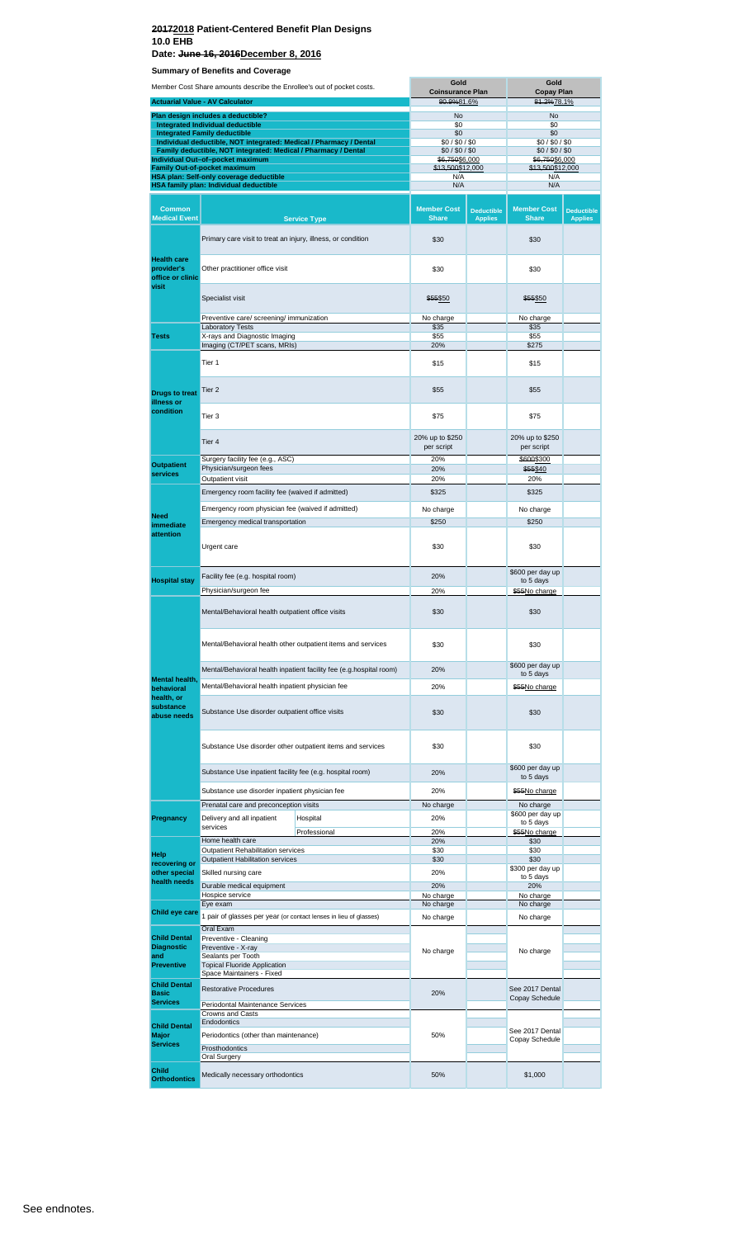**Date: June 16, 2016December 8, 2016**

**Summary of Benefits and Coverage**

|                                          | Member Cost Share amounts describe the Enrollee's out of pocket costs.  |                                                                     | Gold<br><b>Coinsurance Plan</b>    |                                     | Gold<br><b>Copay Plan</b>          |                                     |
|------------------------------------------|-------------------------------------------------------------------------|---------------------------------------------------------------------|------------------------------------|-------------------------------------|------------------------------------|-------------------------------------|
|                                          | <b>Actuarial Value - AV Calculator</b>                                  |                                                                     | 80.9%81.6%                         |                                     | 81.2%78.1%                         |                                     |
|                                          | Plan design includes a deductible?                                      |                                                                     | No                                 |                                     | No                                 |                                     |
|                                          | Integrated Individual deductible<br><b>Integrated Family deductible</b> |                                                                     | \$0<br>\$0                         |                                     | \$0<br>\$0                         |                                     |
|                                          | Individual deductible, NOT integrated: Medical / Pharmacy / Dental      |                                                                     | \$0/\$0/\$0                        |                                     | \$0/\$0/\$0                        |                                     |
|                                          | Family deductible, NOT integrated: Medical / Pharmacy / Dental          |                                                                     | \$0/\$0/\$0                        |                                     | \$0/\$0/\$0                        |                                     |
|                                          | Individual Out-of-pocket maximum<br><b>Family Out-of-pocket maximum</b> |                                                                     | \$6,750\$6,000<br>\$13,500\$12,000 |                                     | \$6,750\$6,000<br>\$13,500\$12,000 |                                     |
|                                          | HSA plan: Self-only coverage deductible                                 |                                                                     | N/A<br>N/A                         |                                     | N/A<br>N/A                         |                                     |
|                                          | HSA family plan: Individual deductible                                  |                                                                     |                                    |                                     |                                    |                                     |
| <b>Common</b><br><b>Medical Event</b>    |                                                                         | <b>Service Type</b>                                                 | <b>Member Cost</b><br><b>Share</b> | <b>Deductible</b><br><b>Applies</b> | <b>Member Cost</b><br><b>Share</b> | <b>Deductible</b><br><b>Applies</b> |
|                                          | Primary care visit to treat an injury, illness, or condition            |                                                                     | \$30                               |                                     | \$30                               |                                     |
| <b>Health care</b><br>provider's         | Other practitioner office visit                                         |                                                                     | \$30                               |                                     | \$30                               |                                     |
| office or clinic<br>visit                | Specialist visit                                                        |                                                                     | \$55\$50                           |                                     | \$55\$50                           |                                     |
|                                          |                                                                         |                                                                     |                                    |                                     |                                    |                                     |
|                                          | Preventive care/ screening/ immunization<br><b>Laboratory Tests</b>     |                                                                     | No charge<br>\$35                  |                                     | No charge<br>\$35                  |                                     |
| <b>Tests</b>                             | X-rays and Diagnostic Imaging                                           |                                                                     | \$55                               |                                     | \$55                               |                                     |
|                                          | Imaging (CT/PET scans, MRIs)                                            |                                                                     | 20%                                |                                     | \$275                              |                                     |
|                                          | Tier 1                                                                  |                                                                     | \$15                               |                                     | \$15                               |                                     |
| <b>Drugs to treat</b><br>illness or      | Tier <sub>2</sub>                                                       |                                                                     | \$55                               |                                     | \$55                               |                                     |
| condition                                | Tier 3                                                                  |                                                                     | \$75                               |                                     | \$75                               |                                     |
|                                          | Tier 4<br>Surgery facility fee (e.g., ASC)<br>Physician/surgeon fees    |                                                                     | 20% up to \$250<br>per script      |                                     | 20% up to \$250<br>per script      |                                     |
| <b>Outpatient</b>                        |                                                                         |                                                                     | 20%<br>20%                         |                                     | \$600\$300<br>\$55\$40             |                                     |
| <b>services</b>                          | Outpatient visit                                                        |                                                                     | 20%                                |                                     | 20%                                |                                     |
|                                          | Emergency room facility fee (waived if admitted)                        |                                                                     | \$325                              |                                     | \$325                              |                                     |
|                                          | Emergency room physician fee (waived if admitted)                       |                                                                     | No charge                          |                                     | No charge                          |                                     |
| <b>Need</b>                              | Emergency medical transportation                                        |                                                                     | \$250                              |                                     | \$250                              |                                     |
| immediate<br>attention                   |                                                                         |                                                                     |                                    |                                     |                                    |                                     |
|                                          | Urgent care                                                             |                                                                     | \$30                               |                                     | \$30                               |                                     |
|                                          | Facility fee (e.g. hospital room)                                       |                                                                     | 20%                                |                                     | \$600 per day up                   |                                     |
| <b>Hospital stay</b>                     | Physician/surgeon fee                                                   |                                                                     | 20%                                |                                     | to 5 days<br>\$55No charge         |                                     |
|                                          | Mental/Behavioral health outpatient office visits                       |                                                                     | \$30                               |                                     | \$30                               |                                     |
|                                          | Mental/Behavioral health other outpatient items and services            |                                                                     | \$30                               |                                     | \$30                               |                                     |
|                                          |                                                                         | Mental/Behavioral health inpatient facility fee (e.g.hospital room) | 20%                                |                                     | \$600 per day up                   |                                     |
| <b>Mental health,</b>                    |                                                                         |                                                                     |                                    |                                     | to 5 days                          |                                     |
| behavioral<br>health, or                 | Mental/Behavioral health inpatient physician fee                        |                                                                     | 20%                                |                                     | \$55No charge                      |                                     |
| substance<br>abuse needs                 | Substance Use disorder outpatient office visits                         |                                                                     | \$30                               |                                     | \$30                               |                                     |
|                                          |                                                                         | Substance Use disorder other outpatient items and services          | \$30                               |                                     | \$30                               |                                     |
|                                          | Substance Use inpatient facility fee (e.g. hospital room)               |                                                                     | 20%                                |                                     | \$600 per day up<br>to 5 days      |                                     |
|                                          | Substance use disorder inpatient physician fee                          |                                                                     | 20%                                |                                     | \$55No charge                      |                                     |
|                                          | Prenatal care and preconception visits                                  |                                                                     | No charge                          |                                     | No charge                          |                                     |
| Pregnancy                                | Delivery and all inpatient                                              | Hospital                                                            | 20%                                |                                     | \$600 per day up<br>to 5 days      |                                     |
|                                          | services                                                                | Professional                                                        | 20%                                |                                     | \$55No charge                      |                                     |
|                                          | Home health care<br>Outpatient Rehabilitation services                  |                                                                     | 20%<br>\$30                        |                                     | \$30<br>\$30                       |                                     |
| Help<br>recovering or                    | Outpatient Habilitation services                                        |                                                                     | \$30                               |                                     | \$30                               |                                     |
| other special                            | Skilled nursing care                                                    |                                                                     | 20%                                |                                     | \$300 per day up<br>to 5 days      |                                     |
| health needs                             | Durable medical equipment                                               |                                                                     | 20%                                |                                     | 20%                                |                                     |
|                                          | Hospice service<br>Eye exam                                             |                                                                     | No charge<br>No charge             |                                     | No charge<br>No charge             |                                     |
| Child eye care                           | 1 pair of glasses per year (or contact lenses in lieu of glasses)       |                                                                     | No charge                          |                                     | No charge                          |                                     |
|                                          | Oral Exam                                                               |                                                                     |                                    |                                     |                                    |                                     |
| <b>Child Dental</b><br><b>Diagnostic</b> | Preventive - Cleaning<br>Preventive - X-ray                             |                                                                     |                                    |                                     |                                    |                                     |
| and<br><b>Preventive</b>                 | Sealants per Tooth<br><b>Topical Fluoride Application</b>               |                                                                     | No charge                          |                                     | No charge                          |                                     |
| <b>Child Dental</b>                      | Space Maintainers - Fixed                                               |                                                                     |                                    |                                     |                                    |                                     |
| <b>Basic</b><br><b>Services</b>          | <b>Restorative Procedures</b><br>Periodontal Maintenance Services       |                                                                     | 20%                                |                                     | See 2017 Dental<br>Copay Schedule  |                                     |
|                                          | Crowns and Casts                                                        |                                                                     |                                    |                                     |                                    |                                     |
| <b>Child Dental</b>                      | Endodontics                                                             |                                                                     |                                    |                                     | See 2017 Dental                    |                                     |
| Major<br><b>Services</b>                 | Periodontics (other than maintenance)<br>Prosthodontics                 |                                                                     | 50%                                |                                     | Copay Schedule                     |                                     |
|                                          | Oral Surgery                                                            |                                                                     |                                    |                                     |                                    |                                     |
| Child                                    | Medically necessary orthodontics                                        |                                                                     | 50%                                |                                     | \$1,000                            |                                     |
| <b>Orthodontics</b>                      |                                                                         |                                                                     |                                    |                                     |                                    |                                     |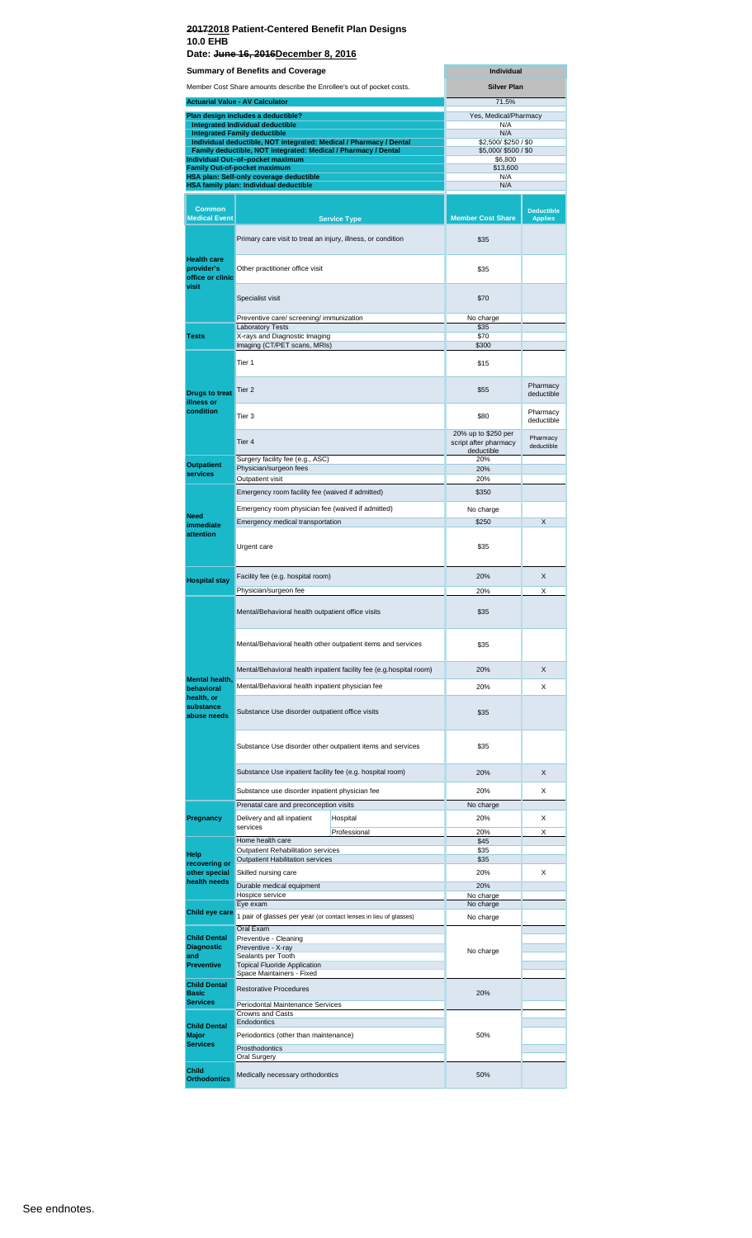#### **20172018 Patient-Centered Benefit Plan Designs 10.0 EHB Date: June 16, 2016December 8, 2016**

|                                          | <b>Summary of Benefits and Coverage</b>                                                            |                     |                                              | <b>Individual</b>                   |  |  |  |
|------------------------------------------|----------------------------------------------------------------------------------------------------|---------------------|----------------------------------------------|-------------------------------------|--|--|--|
|                                          | Member Cost Share amounts describe the Enrollee's out of pocket costs.                             |                     | <b>Silver Plan</b>                           |                                     |  |  |  |
|                                          | <b>Actuarial Value - AV Calculator</b>                                                             |                     | 71.5%                                        |                                     |  |  |  |
|                                          | Plan design includes a deductible?                                                                 |                     | Yes, Medical/Pharmacy                        |                                     |  |  |  |
|                                          | Integrated Individual deductible<br><b>Integrated Family deductible</b>                            |                     | N/A<br>N/A                                   |                                     |  |  |  |
|                                          | Individual deductible, NOT integrated: Medical / Pharmacy / Dental                                 |                     | \$2,500/\$250/\$0                            |                                     |  |  |  |
|                                          | Family deductible, NOT integrated: Medical / Pharmacy / Dental<br>Individual Out-of-pocket maximum |                     | \$5,000/\$500/\$0<br>\$6,800                 |                                     |  |  |  |
|                                          | <b>Family Out-of-pocket maximum</b><br>HSA plan: Self-only coverage deductible                     |                     | \$13,600<br>N/A                              |                                     |  |  |  |
|                                          | HSA family plan: Individual deductible                                                             |                     | N/A                                          |                                     |  |  |  |
|                                          |                                                                                                    |                     |                                              |                                     |  |  |  |
| <b>Common</b><br><b>Medical Event</b>    |                                                                                                    | <b>Service Type</b> | <b>Member Cost Share</b>                     | <b>Deductible</b><br><b>Applies</b> |  |  |  |
|                                          |                                                                                                    |                     |                                              |                                     |  |  |  |
|                                          | Primary care visit to treat an injury, illness, or condition                                       |                     | \$35                                         |                                     |  |  |  |
| <b>Health care</b>                       |                                                                                                    |                     |                                              |                                     |  |  |  |
| provider's<br>office or clinic           | Other practitioner office visit                                                                    |                     | \$35                                         |                                     |  |  |  |
| visit                                    |                                                                                                    |                     |                                              |                                     |  |  |  |
|                                          | Specialist visit                                                                                   |                     | \$70                                         |                                     |  |  |  |
|                                          | Preventive care/ screening/ immunization                                                           |                     | No charge                                    |                                     |  |  |  |
|                                          | <b>Laboratory Tests</b>                                                                            |                     | \$35                                         |                                     |  |  |  |
| <b>Tests</b>                             | X-rays and Diagnostic Imaging<br>Imaging (CT/PET scans, MRIs)                                      |                     | \$70<br>\$300                                |                                     |  |  |  |
|                                          |                                                                                                    |                     |                                              |                                     |  |  |  |
|                                          | Tier 1                                                                                             |                     | \$15                                         |                                     |  |  |  |
|                                          | Tier <sub>2</sub>                                                                                  |                     | \$55                                         | Pharmacy                            |  |  |  |
| <b>Drugs to treat</b><br>illness or      |                                                                                                    |                     |                                              | deductible                          |  |  |  |
| condition                                | Tier 3                                                                                             |                     | \$80                                         | Pharmacy                            |  |  |  |
|                                          |                                                                                                    |                     |                                              | deductible                          |  |  |  |
|                                          | Tier <sub>4</sub>                                                                                  |                     | 20% up to \$250 per<br>script after pharmacy | Pharmacy<br>deductible              |  |  |  |
|                                          | Surgery facility fee (e.g., ASC)                                                                   |                     | deductible<br>20%                            |                                     |  |  |  |
| <b>Outpatient</b><br>services            | Physician/surgeon fees                                                                             |                     | 20%                                          |                                     |  |  |  |
|                                          | Outpatient visit                                                                                   |                     | 20%                                          |                                     |  |  |  |
|                                          | Emergency room facility fee (waived if admitted)                                                   |                     | \$350                                        |                                     |  |  |  |
| <b>Need</b>                              | Emergency room physician fee (waived if admitted)                                                  |                     | No charge                                    |                                     |  |  |  |
| immediate                                | Emergency medical transportation                                                                   |                     | \$250                                        | X                                   |  |  |  |
| attention                                | Urgent care                                                                                        |                     | \$35                                         |                                     |  |  |  |
|                                          |                                                                                                    |                     |                                              |                                     |  |  |  |
|                                          |                                                                                                    |                     | 20%                                          | X                                   |  |  |  |
| <b>Hospital stay</b>                     | Facility fee (e.g. hospital room)<br>Physician/surgeon fee                                         |                     | 20%                                          | X                                   |  |  |  |
|                                          |                                                                                                    |                     |                                              |                                     |  |  |  |
|                                          | Mental/Behavioral health outpatient office visits                                                  |                     | \$35                                         |                                     |  |  |  |
|                                          |                                                                                                    |                     |                                              |                                     |  |  |  |
|                                          | Mental/Behavioral health other outpatient items and services                                       |                     | \$35                                         |                                     |  |  |  |
|                                          |                                                                                                    |                     |                                              |                                     |  |  |  |
|                                          | Mental/Behavioral health inpatient facility fee (e.g.hospital room)                                |                     | 20%                                          | X                                   |  |  |  |
| <b>Mental health.</b><br>behavioral      | Mental/Behavioral health inpatient physician fee                                                   |                     | 20%                                          | X                                   |  |  |  |
| health, or                               |                                                                                                    |                     |                                              |                                     |  |  |  |
| substance<br>abuse needs                 | Substance Use disorder outpatient office visits                                                    |                     | \$35                                         |                                     |  |  |  |
|                                          |                                                                                                    |                     |                                              |                                     |  |  |  |
|                                          | Substance Use disorder other outpatient items and services                                         |                     | \$35                                         |                                     |  |  |  |
|                                          |                                                                                                    |                     |                                              |                                     |  |  |  |
|                                          | Substance Use inpatient facility fee (e.g. hospital room)                                          |                     | 20%                                          | X                                   |  |  |  |
|                                          | Substance use disorder inpatient physician fee                                                     |                     | 20%                                          | X                                   |  |  |  |
|                                          | Prenatal care and preconception visits                                                             |                     | No charge                                    |                                     |  |  |  |
| Pregnancy                                | Delivery and all inpatient                                                                         | Hospital            | 20%                                          | X                                   |  |  |  |
|                                          | services                                                                                           | Professional        | 20%                                          | X                                   |  |  |  |
|                                          | Home health care<br>Outpatient Rehabilitation services                                             |                     | \$45<br>\$35                                 |                                     |  |  |  |
| Help<br>recovering or                    | Outpatient Habilitation services                                                                   |                     | \$35                                         |                                     |  |  |  |
| other special                            | Skilled nursing care                                                                               |                     | 20%                                          | X                                   |  |  |  |
| health needs                             | Durable medical equipment                                                                          |                     | 20%                                          |                                     |  |  |  |
|                                          | Hospice service<br>Eye exam                                                                        |                     | No charge<br>No charge                       |                                     |  |  |  |
| Child eye care                           | 1 pair of glasses per year (or contact lenses in lieu of glasses)                                  |                     | No charge                                    |                                     |  |  |  |
|                                          | Oral Exam                                                                                          |                     |                                              |                                     |  |  |  |
| <b>Child Dental</b><br><b>Diagnostic</b> | Preventive - Cleaning<br>Preventive - X-ray                                                        |                     | No charge                                    |                                     |  |  |  |
| and<br><b>Preventive</b>                 | Sealants per Tooth<br><b>Topical Fluoride Application</b>                                          |                     |                                              |                                     |  |  |  |
|                                          | Space Maintainers - Fixed                                                                          |                     |                                              |                                     |  |  |  |
| <b>Child Dental</b><br><b>Basic</b>      | <b>Restorative Procedures</b>                                                                      |                     | 20%                                          |                                     |  |  |  |
| <b>Services</b>                          | Periodontal Maintenance Services                                                                   |                     |                                              |                                     |  |  |  |
|                                          | Crowns and Casts<br>Endodontics                                                                    |                     |                                              |                                     |  |  |  |
| <b>Child Dental</b><br><b>Major</b>      | Periodontics (other than maintenance)                                                              |                     | 50%                                          |                                     |  |  |  |
| <b>Services</b>                          | Prosthodontics                                                                                     |                     |                                              |                                     |  |  |  |
|                                          | Oral Surgery                                                                                       |                     |                                              |                                     |  |  |  |
| Child<br><b>Orthodontics</b>             | Medically necessary orthodontics                                                                   |                     | 50%                                          |                                     |  |  |  |
|                                          |                                                                                                    |                     |                                              |                                     |  |  |  |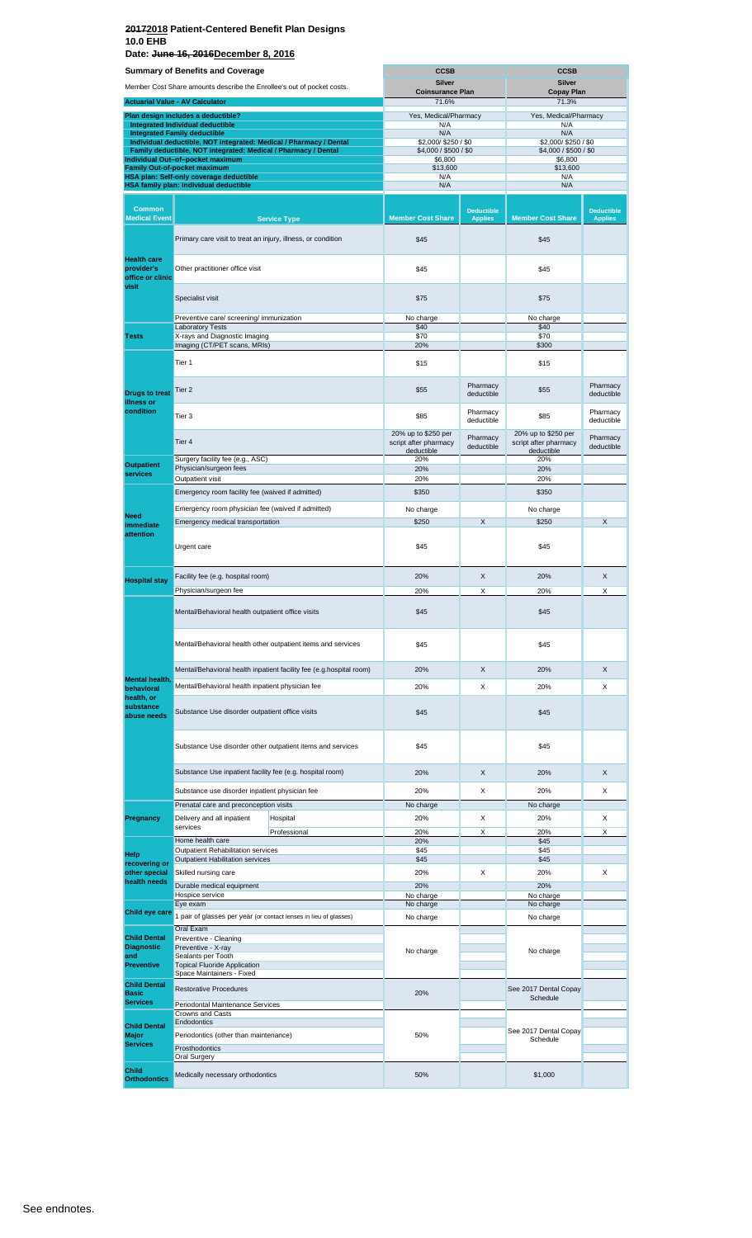**Date: June 16, 2016December 8, 2016**

| <b>Summary of Benefits and Coverage</b>              |                                                                                                    | <b>CCSB</b>                                                         |                                          | <b>CCSB</b>                         |                                     |                                     |  |
|------------------------------------------------------|----------------------------------------------------------------------------------------------------|---------------------------------------------------------------------|------------------------------------------|-------------------------------------|-------------------------------------|-------------------------------------|--|
|                                                      | Member Cost Share amounts describe the Enrollee's out of pocket costs.                             |                                                                     | <b>Silver</b><br><b>Coinsurance Plan</b> |                                     | <b>Silver</b><br><b>Copay Plan</b>  |                                     |  |
|                                                      | <b>Actuarial Value - AV Calculator</b>                                                             |                                                                     | 71.6%                                    |                                     | 71.3%                               |                                     |  |
|                                                      | Plan design includes a deductible?                                                                 |                                                                     | Yes, Medical/Pharmacy                    |                                     | Yes, Medical/Pharmacy               |                                     |  |
|                                                      | Integrated Individual deductible<br><b>Integrated Family deductible</b>                            |                                                                     | N/A<br>N/A                               |                                     | N/A<br>N/A                          |                                     |  |
|                                                      | Individual deductible, NOT integrated: Medical / Pharmacy / Dental                                 |                                                                     | \$2,000/\$250/\$0                        |                                     | \$2,000/\$250/\$0                   |                                     |  |
|                                                      | Family deductible, NOT integrated: Medical / Pharmacy / Dental<br>Individual Out-of-pocket maximum |                                                                     | \$4,000 / \$500 / \$0<br>\$6,800         |                                     | \$4,000 / \$500 / \$0<br>\$6,800    |                                     |  |
|                                                      | <b>Family Out-of-pocket maximum</b>                                                                |                                                                     | \$13,600                                 |                                     | \$13,600                            |                                     |  |
|                                                      | HSA plan: Self-only coverage deductible<br>HSA family plan: Individual deductible                  |                                                                     | N/A<br>N/A                               |                                     | N/A<br>N/A                          |                                     |  |
|                                                      |                                                                                                    |                                                                     |                                          |                                     |                                     |                                     |  |
| <b>Common</b><br><b>Medical Event</b>                |                                                                                                    | <b>Service Type</b>                                                 | <b>Member Cost Share</b>                 | <b>Deductible</b><br><b>Applies</b> | <b>Member Cost Share</b>            | <b>Deductible</b><br><b>Applies</b> |  |
|                                                      | Primary care visit to treat an injury, illness, or condition                                       |                                                                     | \$45                                     |                                     | \$45                                |                                     |  |
| <b>Health care</b><br>provider's<br>office or clinic | Other practitioner office visit                                                                    |                                                                     | \$45                                     |                                     | \$45                                |                                     |  |
| visit                                                | Specialist visit                                                                                   |                                                                     | \$75                                     |                                     | \$75                                |                                     |  |
|                                                      | Preventive care/ screening/ immunization                                                           |                                                                     | No charge                                |                                     | No charge                           |                                     |  |
| <b>Tests</b>                                         | <b>Laboratory Tests</b><br>X-rays and Diagnostic Imaging                                           |                                                                     | \$40<br>\$70                             |                                     | \$40<br>\$70                        |                                     |  |
|                                                      | Imaging (CT/PET scans, MRIs)                                                                       |                                                                     | 20%                                      |                                     | \$300                               |                                     |  |
|                                                      | Tier 1                                                                                             |                                                                     | \$15                                     |                                     | \$15                                |                                     |  |
|                                                      | Tier 2                                                                                             |                                                                     | \$55                                     | Pharmacy                            | \$55                                | Pharmacy                            |  |
| <b>Drugs to treat</b><br>illness or                  |                                                                                                    |                                                                     |                                          | deductible                          |                                     | deductible                          |  |
| condition                                            | Tier 3                                                                                             |                                                                     | \$85<br>20% up to \$250 per              | Pharmacy<br>deductible              | \$85<br>20% up to \$250 per         | Pharmacy<br>deductible              |  |
|                                                      | Tier 4                                                                                             |                                                                     | script after pharmacy<br>deductible      | Pharmacy<br>deductible              | script after pharmacy<br>deductible | Pharmacy<br>deductible              |  |
| <b>Outpatient</b>                                    | Surgery facility fee (e.g., ASC)                                                                   |                                                                     | 20%                                      |                                     | 20%                                 |                                     |  |
| services                                             | Physician/surgeon fees<br>Outpatient visit                                                         |                                                                     | 20%<br>20%                               |                                     | 20%<br>20%                          |                                     |  |
|                                                      | Emergency room facility fee (waived if admitted)                                                   |                                                                     | \$350                                    |                                     | \$350                               |                                     |  |
|                                                      |                                                                                                    |                                                                     |                                          |                                     |                                     |                                     |  |
| <b>Need</b>                                          | Emergency room physician fee (waived if admitted)                                                  |                                                                     | No charge                                |                                     | No charge                           |                                     |  |
| immediate<br>attention                               | Emergency medical transportation                                                                   |                                                                     | \$250                                    | X                                   | \$250                               | X                                   |  |
|                                                      | Urgent care                                                                                        |                                                                     | \$45                                     |                                     | \$45                                |                                     |  |
|                                                      | Facility fee (e.g. hospital room)                                                                  |                                                                     | 20%                                      | X                                   | 20%                                 | X                                   |  |
| <b>Hospital stay</b>                                 | Physician/surgeon fee                                                                              |                                                                     | 20%                                      | X                                   | 20%                                 | X                                   |  |
|                                                      | Mental/Behavioral health outpatient office visits                                                  |                                                                     |                                          |                                     |                                     |                                     |  |
|                                                      |                                                                                                    |                                                                     | \$45                                     |                                     | \$45                                |                                     |  |
|                                                      |                                                                                                    | Mental/Behavioral health other outpatient items and services        | \$45                                     |                                     | \$45                                |                                     |  |
|                                                      |                                                                                                    | Mental/Behavioral health inpatient facility fee (e.g.hospital room) | 20%                                      | X                                   | 20%                                 | X                                   |  |
| <b>Mental health</b><br>behavioral                   | Mental/Behavioral health inpatient physician fee                                                   |                                                                     | 20%                                      | X                                   | 20%                                 | X                                   |  |
| health, or<br>substance<br>abuse needs               | Substance Use disorder outpatient office visits                                                    |                                                                     | \$45                                     |                                     | \$45                                |                                     |  |
|                                                      |                                                                                                    | Substance Use disorder other outpatient items and services          | \$45                                     |                                     | \$45                                |                                     |  |
|                                                      | Substance Use inpatient facility fee (e.g. hospital room)                                          |                                                                     | 20%                                      | X                                   | 20%                                 | X                                   |  |
|                                                      |                                                                                                    |                                                                     |                                          |                                     |                                     |                                     |  |
|                                                      | Substance use disorder inpatient physician fee                                                     |                                                                     | 20%                                      | X                                   | 20%                                 | X                                   |  |
|                                                      | Prenatal care and preconception visits                                                             |                                                                     | No charge                                |                                     | No charge                           |                                     |  |
| Pregnancy                                            | Delivery and all inpatient<br>services                                                             | Hospital                                                            | 20%                                      | X                                   | 20%                                 | X                                   |  |
|                                                      | Home health care                                                                                   | Professional                                                        | 20%<br>20%                               | X                                   | 20%<br>\$45                         | X                                   |  |
| Help                                                 | Outpatient Rehabilitation services                                                                 |                                                                     | \$45                                     |                                     | \$45                                |                                     |  |
| recovering or                                        | Outpatient Habilitation services                                                                   |                                                                     | \$45                                     |                                     | \$45                                |                                     |  |
| other special<br>health needs                        | Skilled nursing care                                                                               |                                                                     | 20%                                      | Χ                                   | 20%                                 | X                                   |  |
|                                                      | Durable medical equipment<br>Hospice service                                                       |                                                                     | 20%<br>No charge                         |                                     | 20%<br>No charge                    |                                     |  |
|                                                      | Eye exam                                                                                           |                                                                     | No charge                                |                                     | No charge                           |                                     |  |
| Child eye care                                       | 1 pair of glasses per year (or contact lenses in lieu of glasses)                                  |                                                                     | No charge                                |                                     | No charge                           |                                     |  |
| <b>Child Dental</b>                                  | Oral Exam<br>Preventive - Cleaning                                                                 |                                                                     |                                          |                                     |                                     |                                     |  |
| <b>Diagnostic</b>                                    | Preventive - X-ray                                                                                 |                                                                     | No charge                                |                                     | No charge                           |                                     |  |
| and<br><b>Preventive</b>                             | Sealants per Tooth<br><b>Topical Fluoride Application</b>                                          |                                                                     |                                          |                                     |                                     |                                     |  |
|                                                      | Space Maintainers - Fixed                                                                          |                                                                     |                                          |                                     |                                     |                                     |  |
| <b>Child Dental</b><br><b>Basic</b>                  | <b>Restorative Procedures</b>                                                                      |                                                                     | 20%                                      |                                     | See 2017 Dental Copay               |                                     |  |
| <b>Services</b>                                      | Periodontal Maintenance Services                                                                   |                                                                     |                                          |                                     | Schedule                            |                                     |  |
|                                                      | <b>Crowns and Casts</b>                                                                            |                                                                     |                                          |                                     |                                     |                                     |  |
| <b>Child Dental</b><br><b>Major</b>                  | Endodontics<br>Periodontics (other than maintenance)                                               |                                                                     | 50%                                      |                                     | See 2017 Dental Copay               |                                     |  |
| <b>Services</b>                                      | Prosthodontics                                                                                     |                                                                     |                                          |                                     | Schedule                            |                                     |  |
|                                                      | <b>Oral Surgery</b>                                                                                |                                                                     |                                          |                                     |                                     |                                     |  |
| Child<br><b>Orthodontics</b>                         | Medically necessary orthodontics                                                                   |                                                                     | 50%                                      |                                     | \$1,000                             |                                     |  |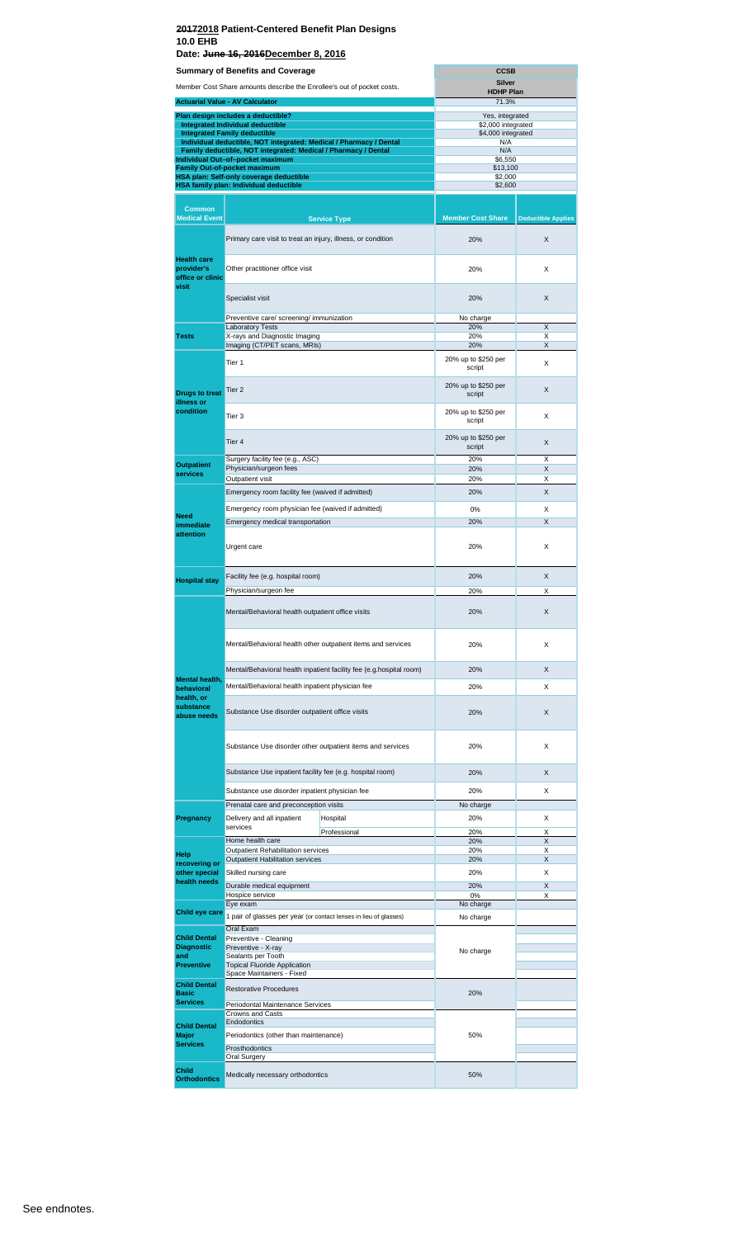**Date: June 16, 2016December 8, 2016**

|                                          | <b>Summary of Benefits and Coverage</b>                                                                                              |                                                                     | <b>CCSB</b>                              |                           |
|------------------------------------------|--------------------------------------------------------------------------------------------------------------------------------------|---------------------------------------------------------------------|------------------------------------------|---------------------------|
|                                          | Member Cost Share amounts describe the Enrollee's out of pocket costs.                                                               |                                                                     | <b>Silver</b><br><b>HDHP Plan</b>        |                           |
|                                          | <b>Actuarial Value - AV Calculator</b>                                                                                               |                                                                     | 71.3%                                    |                           |
|                                          | Plan design includes a deductible?<br><b>Integrated Individual deductible</b>                                                        |                                                                     | Yes, integrated                          |                           |
|                                          | <b>Integrated Family deductible</b>                                                                                                  |                                                                     | \$2,000 integrated<br>\$4,000 integrated |                           |
|                                          | Individual deductible, NOT integrated: Medical / Pharmacy / Dental<br>Family deductible, NOT integrated: Medical / Pharmacy / Dental |                                                                     | N/A<br>N/A                               |                           |
|                                          | Individual Out-of-pocket maximum<br><b>Family Out-of-pocket maximum</b>                                                              |                                                                     | \$6,550<br>\$13,100                      |                           |
|                                          | HSA plan: Self-only coverage deductible<br>HSA family plan: Individual deductible                                                    |                                                                     | \$2,000<br>\$2,600                       |                           |
|                                          |                                                                                                                                      |                                                                     |                                          |                           |
| <b>Common</b><br><b>Medical Event</b>    |                                                                                                                                      | <b>Service Type</b>                                                 | <b>Member Cost Share</b>                 | <b>Deductible Applies</b> |
|                                          |                                                                                                                                      |                                                                     |                                          |                           |
| <b>Health care</b>                       | Primary care visit to treat an injury, illness, or condition                                                                         |                                                                     | 20%                                      | X                         |
| provider's<br>office or clinic<br>visit  | Other practitioner office visit                                                                                                      | 20%                                                                 | X                                        |                           |
|                                          | Specialist visit                                                                                                                     |                                                                     | 20%                                      | X                         |
|                                          | Preventive care/ screening/ immunization                                                                                             |                                                                     | No charge<br>20%                         | X                         |
| <b>Tests</b>                             | <b>Laboratory Tests</b><br>X-rays and Diagnostic Imaging                                                                             |                                                                     | 20%                                      | Χ                         |
|                                          | Imaging (CT/PET scans, MRIs)                                                                                                         |                                                                     | 20%                                      | X                         |
|                                          | Tier <sub>1</sub>                                                                                                                    |                                                                     | 20% up to \$250 per<br>script            | X                         |
| <b>Drugs to treat</b><br>illness or      | Tier 2                                                                                                                               |                                                                     | 20% up to \$250 per<br>script            | X                         |
| condition                                | Tier 3                                                                                                                               |                                                                     | 20% up to \$250 per<br>script            | X                         |
|                                          | Tier <sub>4</sub>                                                                                                                    |                                                                     | 20% up to \$250 per<br>script            | X                         |
| <b>Outpatient</b>                        | Surgery facility fee (e.g., ASC)<br>Physician/surgeon fees                                                                           |                                                                     | 20%<br>20%                               | Χ<br>X                    |
| services                                 | Outpatient visit                                                                                                                     |                                                                     | 20%                                      | Х                         |
|                                          | Emergency room facility fee (waived if admitted)                                                                                     |                                                                     | 20%                                      | X                         |
| <b>Need</b>                              | Emergency room physician fee (waived if admitted)                                                                                    |                                                                     | 0%                                       | X                         |
| immediate                                | Emergency medical transportation                                                                                                     |                                                                     | 20%                                      | X                         |
| attention                                | Urgent care                                                                                                                          |                                                                     | 20%                                      | X                         |
|                                          | Facility fee (e.g. hospital room)                                                                                                    |                                                                     | 20%                                      | X                         |
| <b>Hospital stay</b>                     | Physician/surgeon fee                                                                                                                |                                                                     | 20%                                      | Χ                         |
|                                          | Mental/Behavioral health outpatient office visits                                                                                    |                                                                     | 20%                                      | Χ                         |
|                                          |                                                                                                                                      | Mental/Behavioral health other outpatient items and services        | 20%                                      | X                         |
|                                          |                                                                                                                                      | Mental/Behavioral health inpatient facility fee (e.g.hospital room) | 20%                                      | X                         |
| Mental health,                           | Mental/Behavioral health inpatient physician fee                                                                                     |                                                                     | 20%                                      | X                         |
| behavioral<br>health, or                 |                                                                                                                                      |                                                                     |                                          |                           |
| substance<br>abuse needs                 | Substance Use disorder outpatient office visits                                                                                      |                                                                     | 20%                                      | X                         |
|                                          |                                                                                                                                      | Substance Use disorder other outpatient items and services          | 20%                                      | X                         |
|                                          | Substance Use inpatient facility fee (e.g. hospital room)                                                                            |                                                                     | 20%                                      | X                         |
|                                          | Substance use disorder inpatient physician fee                                                                                       |                                                                     | 20%                                      | X                         |
|                                          | Prenatal care and preconception visits                                                                                               |                                                                     | No charge                                |                           |
| Pregnancy                                | Delivery and all inpatient<br>services                                                                                               | Hospital                                                            | 20%                                      | X                         |
|                                          | Home health care                                                                                                                     | Professional                                                        | 20%<br>20%                               | X<br>X                    |
| Help                                     | Outpatient Rehabilitation services                                                                                                   |                                                                     | 20%                                      | X                         |
| recovering or                            | Outpatient Habilitation services                                                                                                     |                                                                     | 20%                                      | X                         |
| other special<br>health needs            | Skilled nursing care<br>Durable medical equipment                                                                                    |                                                                     | 20%<br>20%                               | X<br>X                    |
|                                          | Hospice service                                                                                                                      |                                                                     | 0%                                       | X                         |
| Child eye care                           | Eye exam<br>1 pair of glasses per year (or contact lenses in lieu of glasses)                                                        |                                                                     | No charge<br>No charge                   |                           |
|                                          | Oral Exam                                                                                                                            |                                                                     |                                          |                           |
| <b>Child Dental</b><br><b>Diagnostic</b> | Preventive - Cleaning<br>Preventive - X-ray                                                                                          |                                                                     |                                          |                           |
| and                                      | Sealants per Tooth                                                                                                                   |                                                                     | No charge                                |                           |
| <b>Preventive</b>                        | <b>Topical Fluoride Application</b><br>Space Maintainers - Fixed                                                                     |                                                                     |                                          |                           |
| <b>Child Dental</b>                      | <b>Restorative Procedures</b>                                                                                                        |                                                                     |                                          |                           |
| <b>Basic</b><br><b>Services</b>          | Periodontal Maintenance Services                                                                                                     |                                                                     | 20%                                      |                           |
|                                          | Crowns and Casts                                                                                                                     |                                                                     |                                          |                           |
| <b>Child Dental</b><br><b>Major</b>      | Endodontics<br>Periodontics (other than maintenance)                                                                                 |                                                                     | 50%                                      |                           |
| <b>Services</b>                          | Prosthodontics                                                                                                                       |                                                                     |                                          |                           |
|                                          | Oral Surgery                                                                                                                         |                                                                     |                                          |                           |
| Child<br><b>Orthodontics</b>             | Medically necessary orthodontics                                                                                                     |                                                                     | 50%                                      |                           |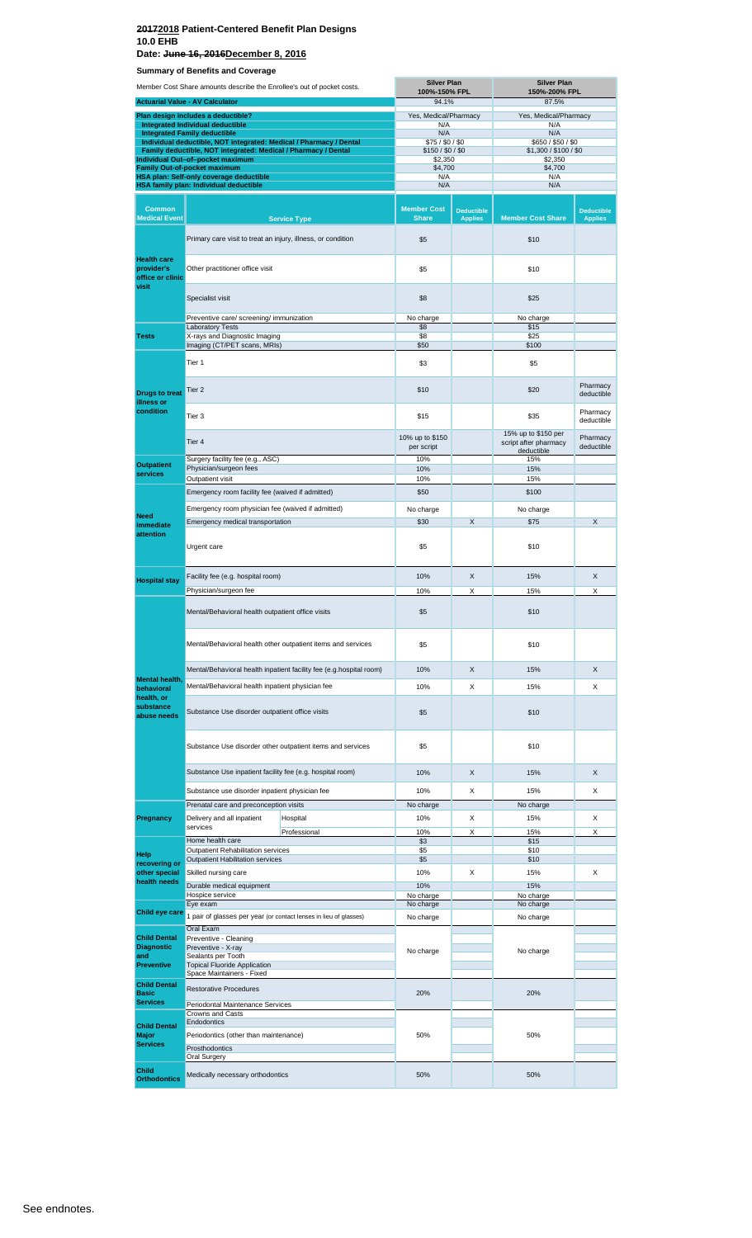**Summary of Benefits and Coverage Date: June 16, 2016December 8, 2016**

|                                                               | Summary or Benemis and Coverage                                                                                                      |                     | <b>Silver Plan</b>                 |                                     | <b>Silver Plan</b>                           |                                     |
|---------------------------------------------------------------|--------------------------------------------------------------------------------------------------------------------------------------|---------------------|------------------------------------|-------------------------------------|----------------------------------------------|-------------------------------------|
|                                                               | Member Cost Share amounts describe the Enrollee's out of pocket costs.                                                               |                     | 100%-150% FPL                      |                                     | 150%-200% FPL                                |                                     |
|                                                               | <b>Actuarial Value - AV Calculator</b>                                                                                               |                     | 94.1%                              |                                     | 87.5%                                        |                                     |
|                                                               | Plan design includes a deductible?<br>Integrated Individual deductible                                                               |                     | Yes, Medical/Pharmacy<br>N/A       |                                     | Yes, Medical/Pharmacy<br>N/A                 |                                     |
|                                                               | <b>Integrated Family deductible</b>                                                                                                  |                     | N/A                                |                                     | N/A                                          |                                     |
|                                                               | Individual deductible, NOT integrated: Medical / Pharmacy / Dental<br>Family deductible, NOT integrated: Medical / Pharmacy / Dental |                     | \$75/\$0/\$0<br>\$150/\$0/\$0      |                                     | \$650 / \$50 / \$0<br>\$1,300 / \$100 / \$0  |                                     |
|                                                               | Individual Out-of-pocket maximum                                                                                                     |                     | \$2,350                            |                                     | \$2,350                                      |                                     |
|                                                               | Family Out-of-pocket maximum<br>HSA plan: Self-only coverage deductible                                                              |                     | \$4,700<br>N/A                     |                                     | \$4,700<br>N/A                               |                                     |
|                                                               | HSA family plan: Individual deductible                                                                                               |                     | N/A                                |                                     | N/A                                          |                                     |
|                                                               |                                                                                                                                      |                     |                                    |                                     |                                              |                                     |
| <b>Common</b><br><b>Medical Event</b>                         |                                                                                                                                      | <b>Service Type</b> | <b>Member Cost</b><br><b>Share</b> | <b>Deductible</b><br><b>Applies</b> | <b>Member Cost Share</b>                     | <b>Deductible</b><br><b>Applies</b> |
|                                                               | Primary care visit to treat an injury, illness, or condition                                                                         |                     | \$5                                |                                     | \$10                                         |                                     |
| <b>Health care</b><br>provider's<br>office or clinic<br>visit | Other practitioner office visit                                                                                                      |                     | \$5                                |                                     | \$10                                         |                                     |
|                                                               | Specialist visit                                                                                                                     |                     | \$8                                |                                     | \$25                                         |                                     |
|                                                               | Preventive care/ screening/ immunization                                                                                             |                     | No charge                          |                                     | No charge                                    |                                     |
| <b>Tests</b>                                                  | <b>Laboratory Tests</b><br>X-rays and Diagnostic Imaging                                                                             |                     | \$8<br>\$8                         |                                     | \$15<br>\$25                                 |                                     |
|                                                               | Imaging (CT/PET scans, MRIs)                                                                                                         |                     | \$50                               |                                     | \$100                                        |                                     |
|                                                               | Tier 1                                                                                                                               |                     | \$3                                |                                     | \$5                                          |                                     |
| <b>Drugs to treat</b>                                         | Tier 2                                                                                                                               |                     | \$10                               |                                     | \$20                                         | Pharmacy<br>deductible              |
| illness or<br>condition                                       | Tier 3                                                                                                                               |                     | \$15                               |                                     | \$35                                         | Pharmacy<br>deductible              |
|                                                               | Tier 4                                                                                                                               |                     | 10% up to \$150<br>per script      |                                     | 15% up to \$150 per<br>script after pharmacy | Pharmacy<br>deductible              |
|                                                               | Surgery facility fee (e.g., ASC)                                                                                                     |                     | 10%                                |                                     | deductible<br>15%                            |                                     |
| <b>Outpatient</b><br>services                                 | Physician/surgeon fees                                                                                                               |                     | 10%                                |                                     | 15%                                          |                                     |
|                                                               | Outpatient visit                                                                                                                     |                     | 10%                                |                                     | 15%                                          |                                     |
|                                                               | Emergency room facility fee (waived if admitted)                                                                                     |                     | \$50                               |                                     | \$100                                        |                                     |
| <b>Need</b>                                                   | Emergency room physician fee (waived if admitted)                                                                                    |                     | No charge                          |                                     | No charge                                    |                                     |
| immediate                                                     | Emergency medical transportation                                                                                                     |                     | \$30                               | X                                   | \$75                                         | X                                   |
| attention                                                     | Urgent care                                                                                                                          |                     | \$5                                |                                     | \$10                                         |                                     |
|                                                               |                                                                                                                                      |                     |                                    |                                     |                                              |                                     |
| <b>Hospital stay</b>                                          | Facility fee (e.g. hospital room)                                                                                                    |                     | 10%                                | X                                   | 15%                                          | X                                   |
|                                                               | Physician/surgeon fee                                                                                                                |                     | 10%                                | Χ                                   | 15%                                          | Χ                                   |
|                                                               | Mental/Behavioral health outpatient office visits                                                                                    |                     | \$5                                |                                     | \$10                                         |                                     |
|                                                               | Mental/Behavioral health other outpatient items and services                                                                         |                     | \$5                                |                                     | \$10                                         |                                     |
|                                                               | Mental/Behavioral health inpatient facility fee (e.g.hospital room)                                                                  |                     | 10%                                | X                                   | 15%                                          | X                                   |
| <b>Mental health.</b>                                         |                                                                                                                                      |                     |                                    |                                     |                                              |                                     |
| behavioral<br>health, or                                      | Mental/Behavioral health inpatient physician fee                                                                                     |                     | 10%                                | Х                                   | 15%                                          | X                                   |
| substance<br>abuse needs                                      | Substance Use disorder outpatient office visits                                                                                      |                     | \$5                                |                                     | \$10                                         |                                     |
|                                                               | Substance Use disorder other outpatient items and services                                                                           |                     | \$5                                |                                     | \$10                                         |                                     |
|                                                               | Substance Use inpatient facility fee (e.g. hospital room)                                                                            |                     | 10%                                | X                                   | 15%                                          | X                                   |
|                                                               | Substance use disorder inpatient physician fee                                                                                       |                     | 10%                                | X                                   | 15%                                          | X                                   |
|                                                               | Prenatal care and preconception visits                                                                                               |                     | No charge                          |                                     | No charge                                    |                                     |
| Pregnancy                                                     | Delivery and all inpatient                                                                                                           | Hospital            | 10%                                | X                                   | 15%                                          | X                                   |
|                                                               | services                                                                                                                             | Professional        | 10%                                | X                                   | 15%                                          | X                                   |
|                                                               | Home health care<br>Outpatient Rehabilitation services                                                                               |                     | \$3<br>\$5                         |                                     | \$15<br>\$10                                 |                                     |
| Help<br>recovering or                                         | Outpatient Habilitation services                                                                                                     |                     | \$5                                |                                     | \$10                                         |                                     |
| other special                                                 | Skilled nursing care                                                                                                                 |                     | 10%                                | Х                                   | 15%                                          | х                                   |
| health needs                                                  | Durable medical equipment                                                                                                            |                     | 10%                                |                                     | 15%                                          |                                     |
|                                                               | Hospice service<br>Eye exam                                                                                                          |                     | No charge<br>No charge             |                                     | No charge<br>No charge                       |                                     |
| Child eye care                                                | 1 pair of glasses per year (or contact lenses in lieu of glasses)                                                                    |                     | No charge                          |                                     | No charge                                    |                                     |
|                                                               | Oral Exam                                                                                                                            |                     |                                    |                                     |                                              |                                     |
| <b>Child Dental</b>                                           | Preventive - Cleaning                                                                                                                |                     |                                    |                                     |                                              |                                     |
| <b>Diagnostic</b><br>and                                      | Preventive - X-ray<br>Sealants per Tooth                                                                                             |                     | No charge                          |                                     | No charge                                    |                                     |
| <b>Preventive</b>                                             | <b>Topical Fluoride Application</b>                                                                                                  |                     |                                    |                                     |                                              |                                     |
| <b>Child Dental</b><br><b>Basic</b>                           | Space Maintainers - Fixed<br><b>Restorative Procedures</b>                                                                           |                     | 20%                                |                                     | 20%                                          |                                     |
| <b>Services</b>                                               | Periodontal Maintenance Services                                                                                                     |                     |                                    |                                     |                                              |                                     |
|                                                               | Crowns and Casts                                                                                                                     |                     |                                    |                                     |                                              |                                     |
| <b>Child Dental</b>                                           | <b>Endodontics</b>                                                                                                                   |                     |                                    |                                     |                                              |                                     |
| <b>Major</b><br><b>Services</b>                               | Periodontics (other than maintenance)                                                                                                |                     | 50%                                |                                     | 50%                                          |                                     |
|                                                               | Prosthodontics<br><b>Oral Surgery</b>                                                                                                |                     |                                    |                                     |                                              |                                     |
| Child<br><b>Orthodontics</b>                                  | Medically necessary orthodontics                                                                                                     |                     | 50%                                |                                     | 50%                                          |                                     |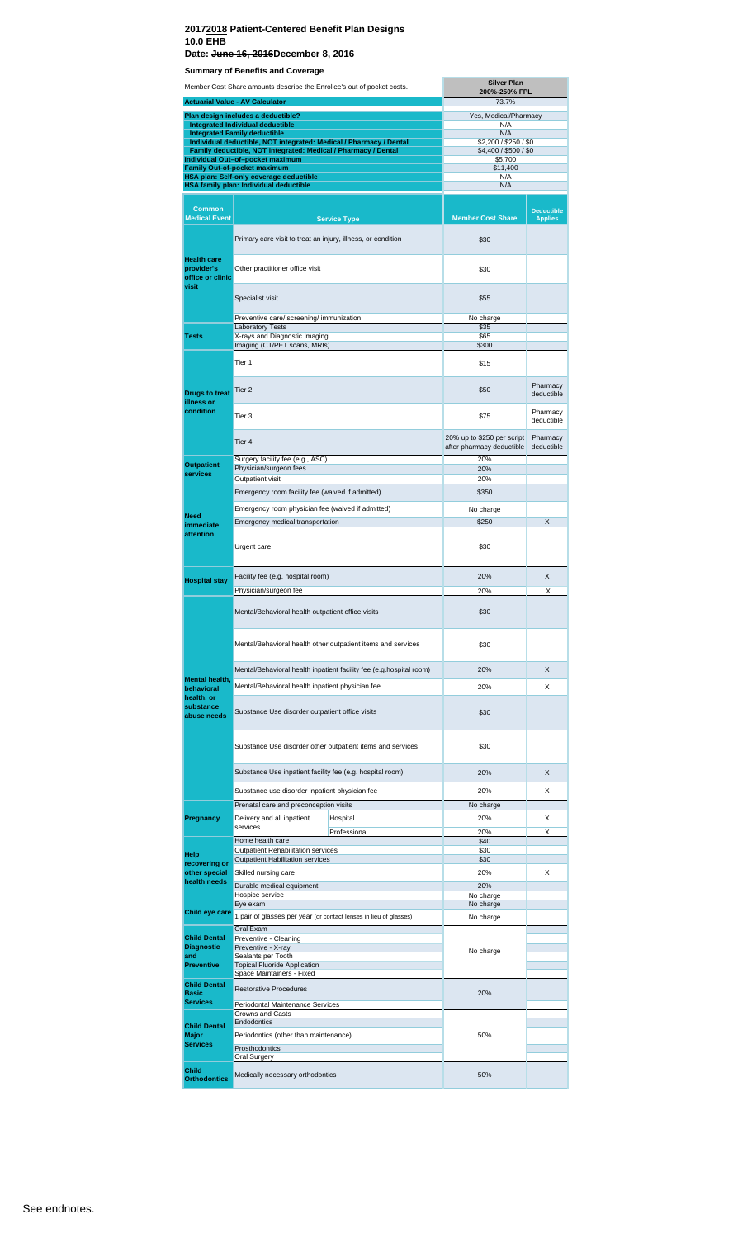#### **20172018 Patient-Centered Benefit Plan Designs 10.0 EHB Date: June 16, 2016December 8, 2016**

**Summary of Benefits and Coverage**

|                                         | <b>Silver Plan</b><br>Member Cost Share amounts describe the Enrollee's out of pocket costs.<br>200%-250% FPL                        |                                                                     |                                                         |                        |
|-----------------------------------------|--------------------------------------------------------------------------------------------------------------------------------------|---------------------------------------------------------------------|---------------------------------------------------------|------------------------|
|                                         | <b>Actuarial Value - AV Calculator</b>                                                                                               |                                                                     | 73.7%                                                   |                        |
|                                         | Plan design includes a deductible?                                                                                                   |                                                                     | Yes, Medical/Pharmacy                                   |                        |
|                                         | <b>Integrated Individual deductible</b><br><b>Integrated Family deductible</b>                                                       |                                                                     | N/A<br>N/A                                              |                        |
|                                         | Individual deductible, NOT integrated: Medical / Pharmacy / Dental<br>Family deductible, NOT integrated: Medical / Pharmacy / Dental |                                                                     | \$2,200 / \$250 / \$0<br>\$4,400 / \$500 / \$0          |                        |
|                                         | Individual Out-of-pocket maximum                                                                                                     |                                                                     | \$5,700                                                 |                        |
|                                         | <b>Family Out-of-pocket maximum</b><br>HSA plan: Self-only coverage deductible                                                       |                                                                     | \$11,400<br>N/A                                         |                        |
|                                         | HSA family plan: Individual deductible                                                                                               |                                                                     | N/A                                                     |                        |
| <b>Common</b>                           |                                                                                                                                      |                                                                     |                                                         | <b>Deductible</b>      |
| <b>Medical Event</b>                    |                                                                                                                                      | <b>Service Type</b>                                                 | <b>Member Cost Share</b>                                | <b>Applies</b>         |
| <b>Health care</b>                      | Primary care visit to treat an injury, illness, or condition                                                                         |                                                                     | \$30                                                    |                        |
| provider's<br>office or clinic<br>visit | Other practitioner office visit                                                                                                      |                                                                     | \$30                                                    |                        |
|                                         | Specialist visit                                                                                                                     | \$55                                                                |                                                         |                        |
|                                         | Preventive care/ screening/ immunization<br><b>Laboratory Tests</b>                                                                  |                                                                     | No charge<br>\$35                                       |                        |
| Tests                                   | X-rays and Diagnostic Imaging                                                                                                        |                                                                     | \$65                                                    |                        |
|                                         | Imaging (CT/PET scans, MRIs)                                                                                                         |                                                                     | \$300                                                   |                        |
|                                         | Tier 1                                                                                                                               | \$15                                                                |                                                         |                        |
| <b>Drugs to treat</b><br>illness or     | Tier 2                                                                                                                               |                                                                     | \$50                                                    | Pharmacy<br>deductible |
| condition                               | Tier 3                                                                                                                               |                                                                     | \$75                                                    | Pharmacy<br>deductible |
|                                         | Tier 4                                                                                                                               |                                                                     | 20% up to \$250 per script<br>after pharmacy deductible | Pharmacy<br>deductible |
| <b>Outpatient</b>                       | Surgery facility fee (e.g., ASC)<br>Physician/surgeon fees                                                                           |                                                                     | 20%<br>20%                                              |                        |
| services                                | Outpatient visit                                                                                                                     |                                                                     | 20%                                                     |                        |
|                                         | Emergency room facility fee (waived if admitted)                                                                                     |                                                                     | \$350                                                   |                        |
|                                         | Emergency room physician fee (waived if admitted)                                                                                    |                                                                     | No charge                                               |                        |
| <b>Need</b><br>immediate                | Emergency medical transportation                                                                                                     |                                                                     | \$250                                                   | X                      |
| attention<br>Urgent care                |                                                                                                                                      |                                                                     | \$30                                                    |                        |
|                                         |                                                                                                                                      |                                                                     |                                                         |                        |
| <b>Hospital stay</b>                    | Facility fee (e.g. hospital room)                                                                                                    |                                                                     | 20%                                                     | X                      |
|                                         | Physician/surgeon fee                                                                                                                |                                                                     | 20%                                                     | Χ                      |
|                                         | Mental/Behavioral health outpatient office visits                                                                                    |                                                                     | \$30                                                    |                        |
|                                         |                                                                                                                                      | Mental/Behavioral health other outpatient items and services        | \$30                                                    |                        |
|                                         |                                                                                                                                      | Mental/Behavioral health inpatient facility fee (e.g.hospital room) | 20%                                                     | X                      |
| <b>Mental health,</b><br>behavioral     | Mental/Behavioral health inpatient physician fee                                                                                     |                                                                     | 20%                                                     | X                      |
| health, or                              |                                                                                                                                      |                                                                     |                                                         |                        |
| substance<br>abuse needs                | Substance Use disorder outpatient office visits                                                                                      |                                                                     | \$30                                                    |                        |
|                                         | Substance Use disorder other outpatient items and services                                                                           |                                                                     | \$30                                                    |                        |
|                                         | Substance Use inpatient facility fee (e.g. hospital room)                                                                            |                                                                     | 20%                                                     | X                      |
|                                         | Substance use disorder inpatient physician fee                                                                                       |                                                                     | 20%                                                     | X                      |
|                                         | Prenatal care and preconception visits                                                                                               |                                                                     | No charge                                               |                        |
| Pregnancy                               | Delivery and all inpatient<br>services                                                                                               | Hospital                                                            | 20%                                                     | X                      |
|                                         | Home health care                                                                                                                     | Professional                                                        | 20%<br>\$40                                             | х                      |
| Help                                    | Outpatient Rehabilitation services                                                                                                   |                                                                     | \$30                                                    |                        |
| recovering or                           | <b>Outpatient Habilitation services</b>                                                                                              |                                                                     | \$30                                                    |                        |
| other special<br>health needs           | Skilled nursing care                                                                                                                 |                                                                     | 20%                                                     | X                      |
|                                         | Durable medical equipment<br>Hospice service                                                                                         |                                                                     | 20%<br>No charge                                        |                        |
| Child eye care                          | Eye exam                                                                                                                             |                                                                     | No charge                                               |                        |
|                                         | 1 pair of glasses per year (or contact lenses in lieu of glasses)                                                                    |                                                                     | No charge                                               |                        |
| <b>Child Dental</b>                     | Oral Exam<br>Preventive - Cleaning                                                                                                   |                                                                     |                                                         |                        |
| <b>Diagnostic</b><br>and                | Preventive - X-ray<br>Sealants per Tooth                                                                                             |                                                                     | No charge                                               |                        |
| <b>Preventive</b>                       | <b>Topical Fluoride Application</b>                                                                                                  |                                                                     |                                                         |                        |
| <b>Child Dental</b>                     | Space Maintainers - Fixed                                                                                                            |                                                                     |                                                         |                        |
| <b>Basic</b>                            | <b>Restorative Procedures</b>                                                                                                        |                                                                     | 20%                                                     |                        |
| <b>Services</b>                         | Periodontal Maintenance Services<br>Crowns and Casts                                                                                 |                                                                     |                                                         |                        |
| <b>Child Dental</b>                     | Endodontics                                                                                                                          |                                                                     |                                                         |                        |
| <b>Major</b>                            | Periodontics (other than maintenance)                                                                                                |                                                                     | 50%                                                     |                        |
| <b>Services</b>                         | Prosthodontics<br>Oral Surgery                                                                                                       |                                                                     |                                                         |                        |
| Child                                   |                                                                                                                                      |                                                                     |                                                         |                        |
| <b>Orthodontics</b>                     | Medically necessary orthodontics                                                                                                     |                                                                     | 50%                                                     |                        |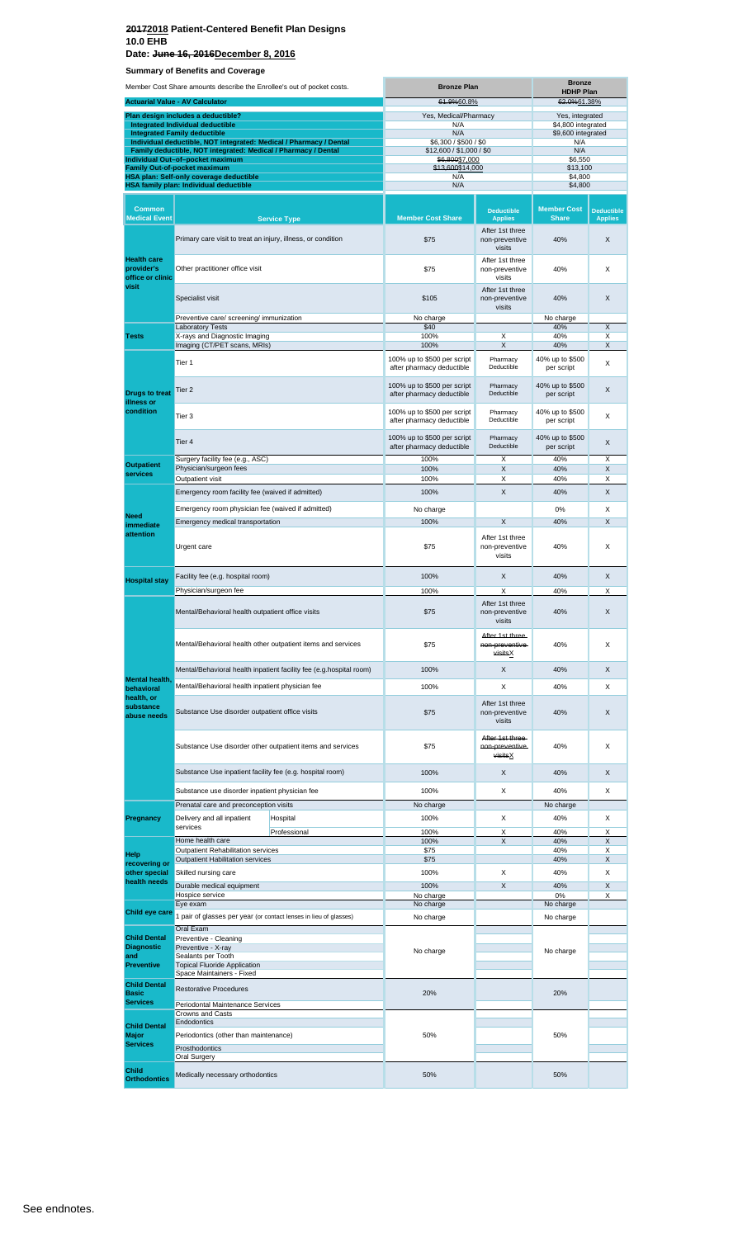**Date: June 16, 2016December 8, 2016**

**Summary of Benefits and Coverage**

| Member Cost Share amounts describe the Enrollee's out of pocket costs. |                                                                                                                                      | <b>Bronze Plan</b>                                                  |                                                          | <b>Bronze</b><br><b>HDHP Plan</b>            |                                       |                                     |
|------------------------------------------------------------------------|--------------------------------------------------------------------------------------------------------------------------------------|---------------------------------------------------------------------|----------------------------------------------------------|----------------------------------------------|---------------------------------------|-------------------------------------|
|                                                                        | <b>Actuarial Value - AV Calculator</b>                                                                                               |                                                                     | 61.9%60.8%                                               |                                              | 62.0%61.38%                           |                                     |
|                                                                        | Plan design includes a deductible?<br>Integrated Individual deductible                                                               |                                                                     | Yes, Medical/Pharmacy<br>N/A                             |                                              | Yes, integrated<br>\$4,800 integrated |                                     |
|                                                                        | <b>Integrated Family deductible</b>                                                                                                  |                                                                     | N/A                                                      |                                              | \$9,600 integrated                    |                                     |
|                                                                        | Individual deductible, NOT integrated: Medical / Pharmacy / Dental<br>Family deductible, NOT integrated: Medical / Pharmacy / Dental |                                                                     | \$6,300 / \$500 / \$0<br>\$12,600 / \$1,000 / \$0        |                                              | N/A<br>N/A                            |                                     |
|                                                                        | Individual Out-of-pocket maximum                                                                                                     |                                                                     | \$6,800\$7,000                                           |                                              | \$6,550                               |                                     |
|                                                                        | <b>Family Out-of-pocket maximum</b><br>HSA plan: Self-only coverage deductible                                                       |                                                                     | \$13,600\$14,000<br>N/A                                  |                                              | \$13,100                              |                                     |
|                                                                        | HSA family plan: Individual deductible                                                                                               |                                                                     | N/A                                                      |                                              | \$4,800<br>\$4,800                    |                                     |
|                                                                        |                                                                                                                                      |                                                                     |                                                          |                                              |                                       |                                     |
| <b>Common</b><br><b>Medical Event</b>                                  |                                                                                                                                      | <b>Service Type</b>                                                 | <b>Member Cost Share</b>                                 | <b>Deductible</b><br><b>Applies</b>          | <b>Member Cost</b><br><b>Share</b>    | <b>Deductible</b><br><b>Applies</b> |
|                                                                        | Primary care visit to treat an injury, illness, or condition                                                                         |                                                                     | \$75                                                     | After 1st three<br>non-preventive<br>visits  | 40%                                   | X                                   |
| <b>Health care</b><br>provider's<br>office or clinic                   | Other practitioner office visit                                                                                                      |                                                                     | \$75                                                     | After 1st three<br>non-preventive<br>visits  | 40%                                   | X                                   |
| visit                                                                  | Specialist visit                                                                                                                     |                                                                     | \$105                                                    | After 1st three<br>non-preventive<br>visits  | 40%                                   | X                                   |
|                                                                        | Preventive care/ screening/ immunization                                                                                             |                                                                     | No charge                                                |                                              | No charge                             |                                     |
| <b>Tests</b>                                                           | <b>Laboratory Tests</b><br>X-rays and Diagnostic Imaging                                                                             |                                                                     | \$40<br>100%                                             | X                                            | 40%<br>40%                            | X<br>X                              |
|                                                                        | Imaging (CT/PET scans, MRIs)                                                                                                         |                                                                     | 100%                                                     | Χ                                            | 40%                                   | X                                   |
|                                                                        | Tier 1                                                                                                                               |                                                                     | 100% up to \$500 per script<br>after pharmacy deductible | Pharmacy<br>Deductible                       | 40% up to \$500<br>per script         | X                                   |
| <b>Drugs to treat</b><br>illness or                                    | Tier 2                                                                                                                               |                                                                     | 100% up to \$500 per script<br>after pharmacy deductible | Pharmacy<br>Deductible                       | 40% up to \$500<br>per script         | X                                   |
| condition                                                              | Tier 3                                                                                                                               |                                                                     | 100% up to \$500 per script<br>after pharmacy deductible | Pharmacy<br>Deductible                       | 40% up to \$500<br>per script         | X                                   |
|                                                                        | Tier 4                                                                                                                               |                                                                     | 100% up to \$500 per script<br>after pharmacy deductible | Pharmacy<br>Deductible                       | 40% up to \$500<br>per script         | X                                   |
| <b>Outpatient</b>                                                      | Surgery facility fee (e.g., ASC)<br>Physician/surgeon fees                                                                           |                                                                     | 100%<br>100%                                             | X<br>X                                       | 40%<br>40%                            | X<br>X                              |
| services                                                               | Outpatient visit                                                                                                                     |                                                                     | 100%                                                     | Χ                                            | 40%                                   | X                                   |
|                                                                        | Emergency room facility fee (waived if admitted)                                                                                     |                                                                     | 100%                                                     | X                                            | 40%                                   | X                                   |
|                                                                        |                                                                                                                                      |                                                                     |                                                          |                                              | 0%                                    | X                                   |
| <b>Need</b>                                                            | Emergency room physician fee (waived if admitted)<br>Emergency medical transportation                                                |                                                                     | No charge                                                |                                              |                                       |                                     |
| immediate<br>attention                                                 |                                                                                                                                      |                                                                     | 100%                                                     | X                                            | 40%                                   | X                                   |
|                                                                        | Urgent care                                                                                                                          |                                                                     | \$75                                                     | After 1st three<br>non-preventive<br>visits  | 40%                                   | X                                   |
| <b>Hospital stay</b>                                                   | Facility fee (e.g. hospital room)                                                                                                    |                                                                     | 100%                                                     | X                                            | 40%                                   | X                                   |
|                                                                        | Physician/surgeon fee                                                                                                                |                                                                     | 100%                                                     | Χ                                            | 40%                                   | X                                   |
|                                                                        | Mental/Behavioral health outpatient office visits                                                                                    |                                                                     | \$75                                                     | After 1st three<br>non-preventive<br>visits  | 40%                                   | X                                   |
|                                                                        |                                                                                                                                      | Mental/Behavioral health other outpatient items and services        | \$75                                                     | After 1st three<br>non-preventive<br>visitsX | 40%                                   | X                                   |
|                                                                        |                                                                                                                                      | Mental/Behavioral health inpatient facility fee (e.g.hospital room) | 100%                                                     | X                                            | 40%                                   | X                                   |
| <b>Mental health</b>                                                   | Mental/Behavioral health inpatient physician fee                                                                                     |                                                                     | 100%                                                     | X                                            | 40%                                   | X                                   |
| behavioral<br>health, or<br>substance                                  | Substance Use disorder outpatient office visits                                                                                      |                                                                     | \$75                                                     | After 1st three                              | 40%                                   | X                                   |
| abuse needs                                                            |                                                                                                                                      |                                                                     |                                                          | non-preventive<br>visits<br>After 1st three- |                                       |                                     |
|                                                                        | Substance Use disorder other outpatient items and services                                                                           |                                                                     | \$75                                                     | non-preventive-<br>visitsX                   | 40%                                   | X                                   |
|                                                                        | Substance Use inpatient facility fee (e.g. hospital room)                                                                            |                                                                     | 100%                                                     | X                                            | 40%                                   | X                                   |
|                                                                        | Substance use disorder inpatient physician fee                                                                                       |                                                                     | 100%                                                     | X                                            | 40%                                   | X                                   |
|                                                                        | Prenatal care and preconception visits                                                                                               |                                                                     | No charge                                                |                                              | No charge                             |                                     |
| Pregnancy                                                              | Delivery and all inpatient                                                                                                           | Hospital                                                            | 100%                                                     | X                                            | 40%                                   | X                                   |
|                                                                        | services                                                                                                                             | Professional                                                        | 100%                                                     | Χ                                            | 40%                                   | X                                   |
|                                                                        | Home health care<br>Outpatient Rehabilitation services                                                                               |                                                                     | 100%<br>\$75                                             | X                                            | 40%<br>40%                            | X<br>Χ                              |
| Help<br>recovering or                                                  | <b>Outpatient Habilitation services</b>                                                                                              |                                                                     | \$75                                                     |                                              | 40%                                   | X                                   |
| other special                                                          | Skilled nursing care                                                                                                                 |                                                                     | 100%                                                     | Χ                                            | 40%                                   | х                                   |
| health needs                                                           | Durable medical equipment                                                                                                            |                                                                     | 100%                                                     | X                                            | 40%                                   | X                                   |
|                                                                        | Hospice service<br>Eye exam                                                                                                          |                                                                     | No charge<br>No charge                                   |                                              | 0%<br>No charge                       | Χ                                   |
| Child eye care                                                         | 1 pair of glasses per year (or contact lenses in lieu of glasses)                                                                    |                                                                     | No charge                                                |                                              | No charge                             |                                     |
|                                                                        | Oral Exam                                                                                                                            |                                                                     |                                                          |                                              |                                       |                                     |
| <b>Child Dental</b>                                                    | Preventive - Cleaning                                                                                                                |                                                                     |                                                          |                                              |                                       |                                     |
| <b>Diagnostic</b><br>and                                               | Preventive - X-ray<br>Sealants per Tooth                                                                                             |                                                                     | No charge                                                |                                              | No charge                             |                                     |
| <b>Preventive</b>                                                      | <b>Topical Fluoride Application</b>                                                                                                  |                                                                     |                                                          |                                              |                                       |                                     |
| <b>Child Dental</b>                                                    | Space Maintainers - Fixed                                                                                                            |                                                                     |                                                          |                                              |                                       |                                     |
| <b>Basic</b>                                                           | <b>Restorative Procedures</b>                                                                                                        |                                                                     | 20%                                                      |                                              | 20%                                   |                                     |
| <b>Services</b>                                                        | Periodontal Maintenance Services                                                                                                     |                                                                     |                                                          |                                              |                                       |                                     |
|                                                                        | <b>Crowns and Casts</b><br>Endodontics                                                                                               |                                                                     |                                                          |                                              |                                       |                                     |
| <b>Child Dental</b><br>Major                                           | Periodontics (other than maintenance)                                                                                                |                                                                     | 50%                                                      |                                              | 50%                                   |                                     |
| <b>Services</b>                                                        | Prosthodontics                                                                                                                       |                                                                     |                                                          |                                              |                                       |                                     |
|                                                                        | Oral Surgery                                                                                                                         |                                                                     |                                                          |                                              |                                       |                                     |
| Child<br><b>Orthodontics</b>                                           | Medically necessary orthodontics                                                                                                     |                                                                     | 50%                                                      |                                              | 50%                                   |                                     |